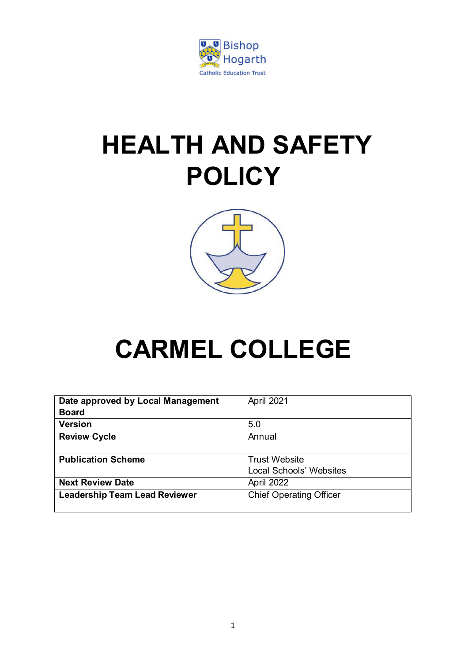

# **HEALTH AND SAFETY POLICY**



# **CARMEL COLLEGE**

| Date approved by Local Management    | April 2021                     |
|--------------------------------------|--------------------------------|
| <b>Board</b>                         |                                |
| <b>Version</b>                       | 5.0                            |
| <b>Review Cycle</b>                  | Annual                         |
|                                      |                                |
| <b>Publication Scheme</b>            | <b>Trust Website</b>           |
|                                      | <b>Local Schools' Websites</b> |
| <b>Next Review Date</b>              | April 2022                     |
| <b>Leadership Team Lead Reviewer</b> | <b>Chief Operating Officer</b> |
|                                      |                                |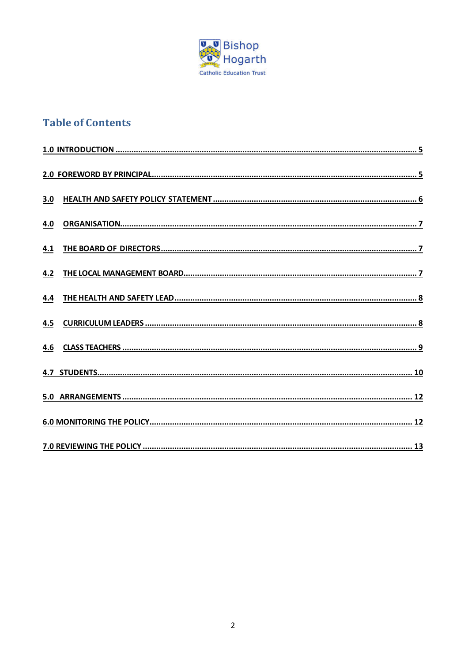

# **Table of Contents**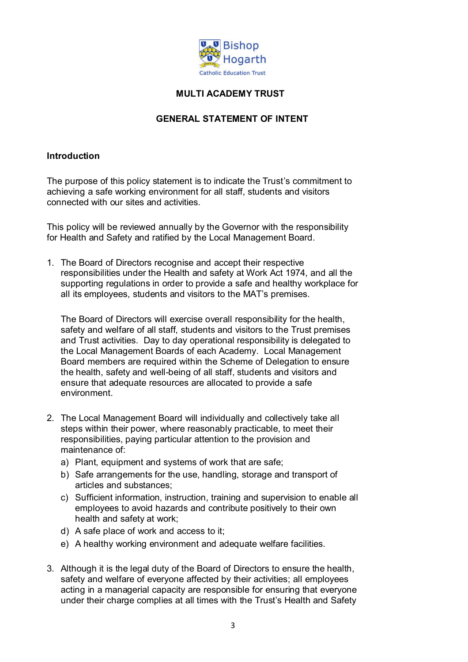

## **MULTI ACADEMY TRUST**

#### **GENERAL STATEMENT OF INTENT**

#### **Introduction**

The purpose of this policy statement is to indicate the Trust's commitment to achieving a safe working environment for all staff, students and visitors connected with our sites and activities.

This policy will be reviewed annually by the Governor with the responsibility for Health and Safety and ratified by the Local Management Board.

1. The Board of Directors recognise and accept their respective responsibilities under the Health and safety at Work Act 1974, and all the supporting regulations in order to provide a safe and healthy workplace for all its employees, students and visitors to the MAT's premises.

The Board of Directors will exercise overall responsibility for the health, safety and welfare of all staff, students and visitors to the Trust premises and Trust activities. Day to day operational responsibility is delegated to the Local Management Boards of each Academy. Local Management Board members are required within the Scheme of Delegation to ensure the health, safety and well-being of all staff, students and visitors and ensure that adequate resources are allocated to provide a safe environment.

- 2. The Local Management Board will individually and collectively take all steps within their power, where reasonably practicable, to meet their responsibilities, paying particular attention to the provision and maintenance of:
	- a) Plant, equipment and systems of work that are safe;
	- b) Safe arrangements for the use, handling, storage and transport of articles and substances;
	- c) Sufficient information, instruction, training and supervision to enable all employees to avoid hazards and contribute positively to their own health and safety at work;
	- d) A safe place of work and access to it;
	- e) A healthy working environment and adequate welfare facilities.
- 3. Although it is the legal duty of the Board of Directors to ensure the health, safety and welfare of everyone affected by their activities; all employees acting in a managerial capacity are responsible for ensuring that everyone under their charge complies at all times with the Trust's Health and Safety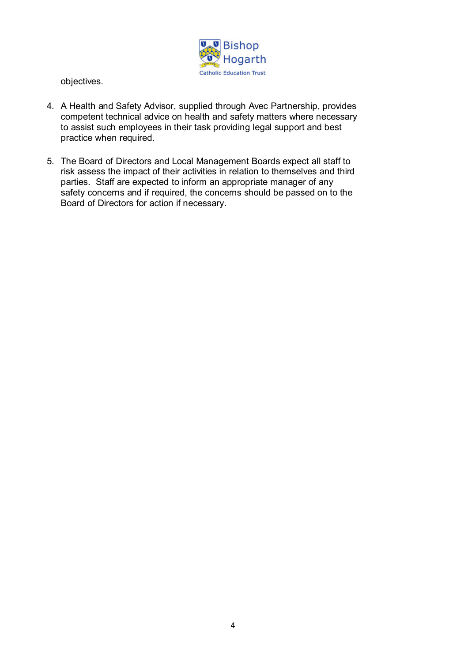

objectives.

- 4. A Health and Safety Advisor, supplied through Avec Partnership, provides competent technical advice on health and safety matters where necessary to assist such employees in their task providing legal support and best practice when required.
- 5. The Board of Directors and Local Management Boards expect all staff to risk assess the impact of their activities in relation to themselves and third parties. Staff are expected to inform an appropriate manager of any safety concerns and if required, the concerns should be passed on to the Board of Directors for action if necessary.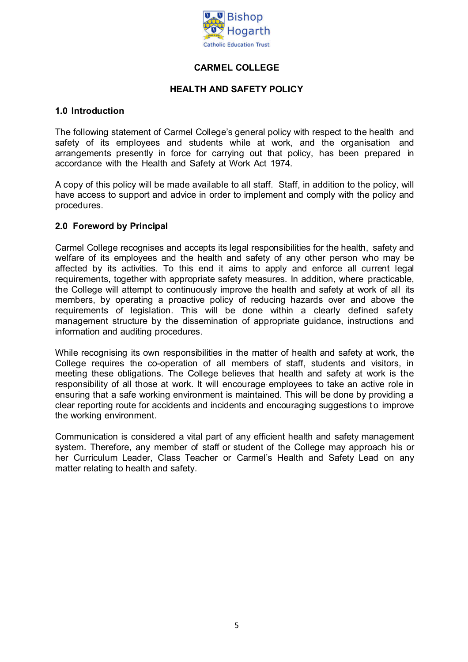

### **CARMEL COLLEGE**

#### **HEALTH AND SAFETY POLICY**

#### <span id="page-4-0"></span>**1.0 Introduction**

The following statement of Carmel College's general policy with respect to the health and safety of its employees and students while at work, and the organisation and arrangements presently in force for carrying out that policy, has been prepared in accordance with the Health and Safety at Work Act 1974.

A copy of this policy will be made available to all staff. Staff, in addition to the policy, will have access to support and advice in order to implement and comply with the policy and procedures.

#### <span id="page-4-1"></span>**2.0 Foreword by Principal**

Carmel College recognises and accepts its legal responsibilities for the health, safety and welfare of its employees and the health and safety of any other person who may be affected by its activities. To this end it aims to apply and enforce all current legal requirements, together with appropriate safety measures. In addition, where practicable, the College will attempt to continuously improve the health and safety at work of all its members, by operating a proactive policy of reducing hazards over and above the requirements of legislation. This will be done within a clearly defined safety management structure by the dissemination of appropriate guidance, instructions and information and auditing procedures.

While recognising its own responsibilities in the matter of health and safety at work, the College requires the co-operation of all members of staff, students and visitors, in meeting these obligations. The College believes that health and safety at work is the responsibility of all those at work. It will encourage employees to take an active role in ensuring that a safe working environment is maintained. This will be done by providing a clear reporting route for accidents and incidents and encouraging suggestions to improve the working environment.

Communication is considered a vital part of any efficient health and safety management system. Therefore, any member of staff or student of the College may approach his or her Curriculum Leader, Class Teacher or Carmel's Health and Safety Lead on any matter relating to health and safety.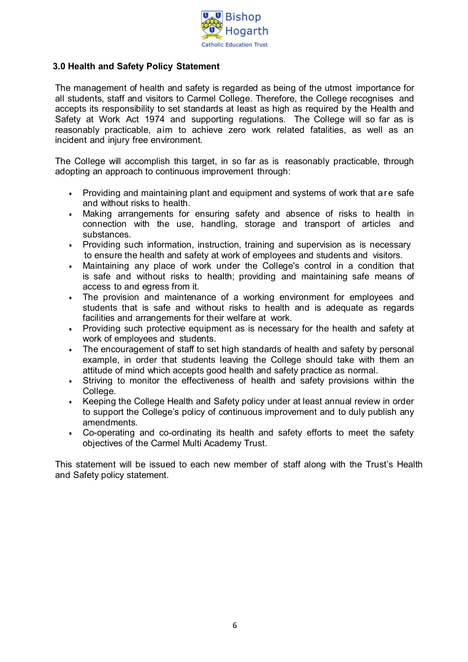

#### <span id="page-5-0"></span>**3.0 Health and Safety Policy Statement**

The management of health and safety is regarded as being of the utmost importance for all students, staff and visitors to Carmel College. Therefore, the College recognises and accepts its responsibility to set standards at least as high as required by the Health and Safety at Work Act 1974 and supporting regulations. The College will so far as is reasonably practicable, aim to achieve zero work related fatalities, as well as an incident and injury free environment.

The College will accomplish this target, in so far as is reasonably practicable, through adopting an approach to continuous improvement through:

- Providing and maintaining plant and equipment and systems of work that are safe and without risks to health.
- Making arrangements for ensuring safety and absence of risks to health in connection with the use, handling, storage and transport of articles and substances.
- Providing such information, instruction, training and supervision as is necessary to ensure the health and safety at work of employees and students and visitors.
- Maintaining any place of work under the College's control in a condition that is safe and without risks to health; providing and maintaining safe means of access to and egress from it.
- The provision and maintenance of a working environment for employees and students that is safe and without risks to health and is adequate as regards facilities and arrangements for their welfare at work.
- Providing such protective equipment as is necessary for the health and safety at work of employees and students.
- The encouragement of staff to set high standards of health and safety by personal example, in order that students leaving the College should take with them an attitude of mind which accepts good health and safety practice as normal.
- Striving to monitor the effectiveness of health and safety provisions within the College.
- Keeping the College Health and Safety policy under at least annual review in order to support the College's policy of continuous improvement and to duly publish any amendments.
- Co-operating and co-ordinating its health and safety efforts to meet the safety objectives of the Carmel Multi Academy Trust.

This statement will be issued to each new member of staff along with the Trust's Health and Safety policy statement.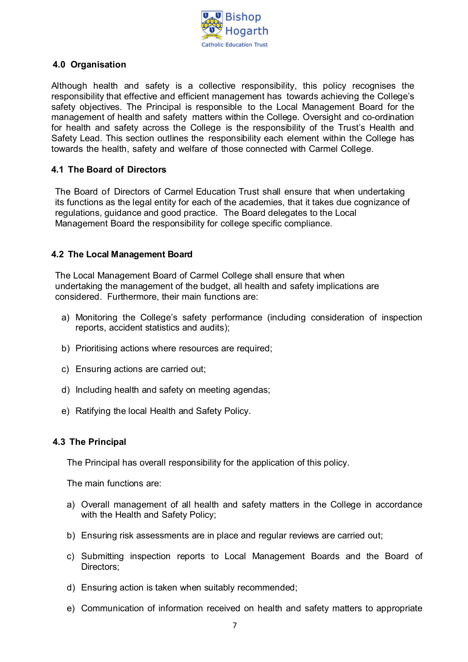

#### <span id="page-6-0"></span>**4.0 Organisation**

Although health and safety is a collective responsibility, this policy recognises the responsibility that effective and efficient management has towards achieving the College's safety objectives. The Principal is responsible to the Local Management Board for the management of health and safety matters within the College. Oversight and co-ordination for health and safety across the College is the responsibility of the Trust's Health and Safety Lead*.* This section outlines the responsibility each element within the College has towards the health, safety and welfare of those connected with Carmel College.

#### <span id="page-6-1"></span>**4.1 The Board of Directors**

The Board of Directors of Carmel Education Trust shall ensure that when undertaking its functions as the legal entity for each of the academies, that it takes due cognizance of regulations, guidance and good practice. The Board delegates to the Local Management Board the responsibility for college specific compliance.

#### <span id="page-6-2"></span>**4.2 The Local Management Board**

The Local Management Board of Carmel College shall ensure that when undertaking the management of the budget, all health and safety implications are considered. Furthermore, their main functions are:

- a) Monitoring the College's safety performance (including consideration of inspection reports, accident statistics and audits);
- b) Prioritising actions where resources are required;
- c) Ensuring actions are carried out;
- d) Including health and safety on meeting agendas;
- e) Ratifying the local Health and Safety Policy.

#### **4.3 The Principal**

The Principal has overall responsibility for the application of this policy.

The main functions are:

- a) Overall management of all health and safety matters in the College in accordance with the Health and Safety Policy;
- b) Ensuring risk assessments are in place and regular reviews are carried out;
- c) Submitting inspection reports to Local Management Boards and the Board of Directors;
- d) Ensuring action is taken when suitably recommended;
- e) Communication of information received on health and safety matters to appropriate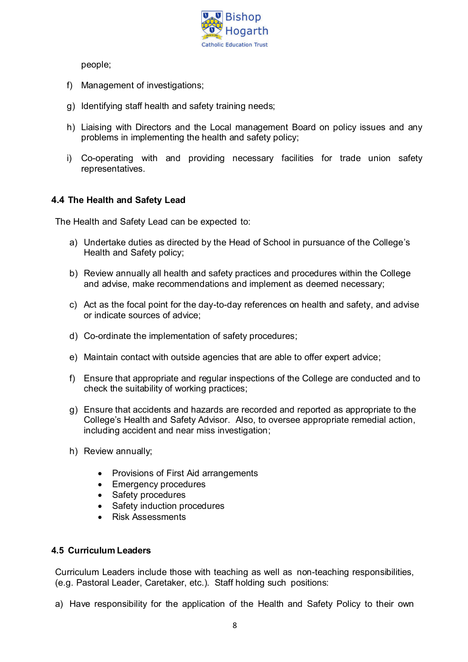

people;

- f) Management of investigations;
- g) Identifying staff health and safety training needs;
- h) Liaising with Directors and the Local management Board on policy issues and any problems in implementing the health and safety policy;
- i) Co-operating with and providing necessary facilities for trade union safety representatives.

### <span id="page-7-0"></span>**4.4 The Health and Safety Lead**

The Health and Safety Lead can be expected to:

- a) Undertake duties as directed by the Head of School in pursuance of the College's Health and Safety policy;
- b) Review annually all health and safety practices and procedures within the College and advise, make recommendations and implement as deemed necessary;
- c) Act as the focal point for the day-to-day references on health and safety, and advise or indicate sources of advice;
- d) Co-ordinate the implementation of safety procedures;
- e) Maintain contact with outside agencies that are able to offer expert advice;
- f) Ensure that appropriate and regular inspections of the College are conducted and to check the suitability of working practices;
- g) Ensure that accidents and hazards are recorded and reported as appropriate to the College's Health and Safety Advisor. Also, to oversee appropriate remedial action, including accident and near miss investigation;
- h) Review annually;
	- Provisions of First Aid arrangements
	- Emergency procedures
	- Safety procedures
	- Safety induction procedures
	- Risk Assessments

#### <span id="page-7-1"></span>**4.5 Curriculum Leaders**

Curriculum Leaders include those with teaching as well as non-teaching responsibilities, (e.g. Pastoral Leader, Caretaker, etc.). Staff holding such positions:

a) Have responsibility for the application of the Health and Safety Policy to their own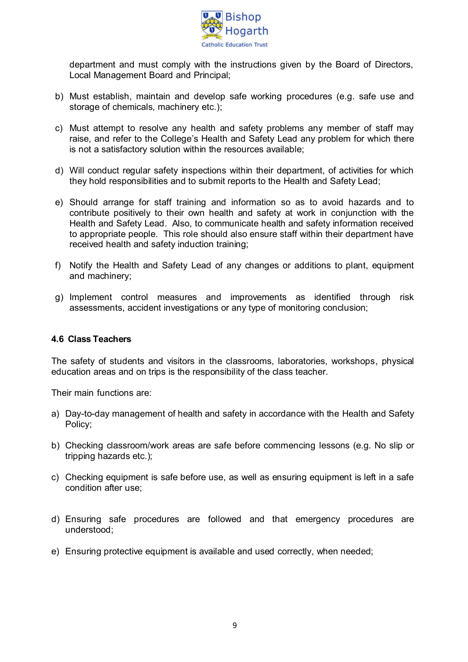

department and must comply with the instructions given by the Board of Directors, Local Management Board and Principal;

- b) Must establish, maintain and develop safe working procedures (e.g. safe use and storage of chemicals, machinery etc.);
- c) Must attempt to resolve any health and safety problems any member of staff may raise, and refer to the College's Health and Safety Lead any problem for which there is not a satisfactory solution within the resources available;
- d) Will conduct regular safety inspections within their department, of activities for which they hold responsibilities and to submit reports to the Health and Safety Lead;
- e) Should arrange for staff training and information so as to avoid hazards and to contribute positively to their own health and safety at work in conjunction with the Health and Safety Lead. Also, to communicate health and safety information received to appropriate people. This role should also ensure staff within their department have received health and safety induction training;
- f) Notify the Health and Safety Lead of any changes or additions to plant, equipment and machinery;
- g) Implement control measures and improvements as identified through risk assessments, accident investigations or any type of monitoring conclusion;

#### <span id="page-8-0"></span>**4.6 Class Teachers**

The safety of students and visitors in the classrooms, laboratories, workshops, physical education areas and on trips is the responsibility of the class teacher.

Their main functions are:

- a) Day-to-day management of health and safety in accordance with the Health and Safety Policy;
- b) Checking classroom/work areas are safe before commencing lessons (e.g. No slip or tripping hazards etc.);
- c) Checking equipment is safe before use, as well as ensuring equipment is left in a safe condition after use;
- d) Ensuring safe procedures are followed and that emergency procedures are understood;
- e) Ensuring protective equipment is available and used correctly, when needed;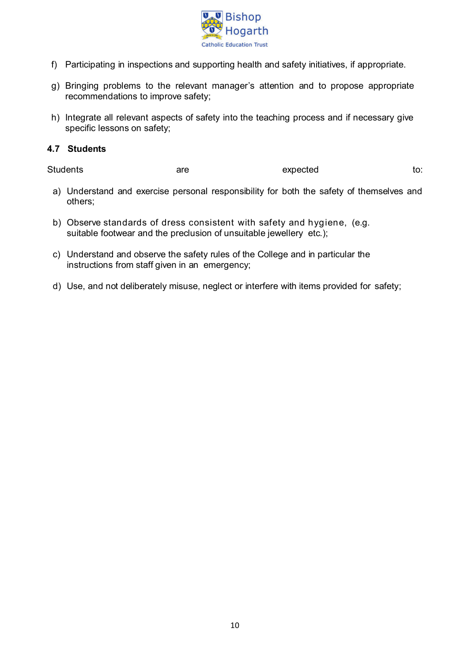

- f) Participating in inspections and supporting health and safety initiatives, if appropriate.
- g) Bringing problems to the relevant manager's attention and to propose appropriate recommendations to improve safety;
- h) Integrate all relevant aspects of safety into the teaching process and if necessary give specific lessons on safety;

#### <span id="page-9-0"></span>**4.7 Students**

Students are are expected to:

- a) Understand and exercise personal responsibility for both the safety of themselves and others;
- b) Observe standards of dress consistent with safety and hygiene, (e.g. suitable footwear and the preclusion of unsuitable jewellery etc.);
- c) Understand and observe the safety rules of the College and in particular the instructions from staff given in an emergency;
- d) Use, and not deliberately misuse, neglect or interfere with items provided for safety;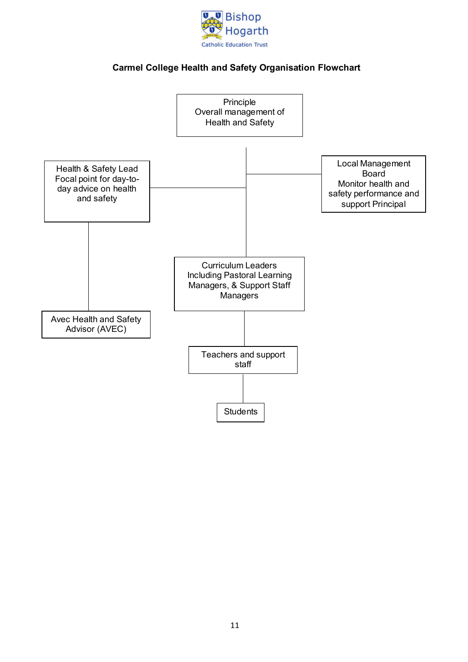

# **Carmel College Health and Safety Organisation Flowchart**

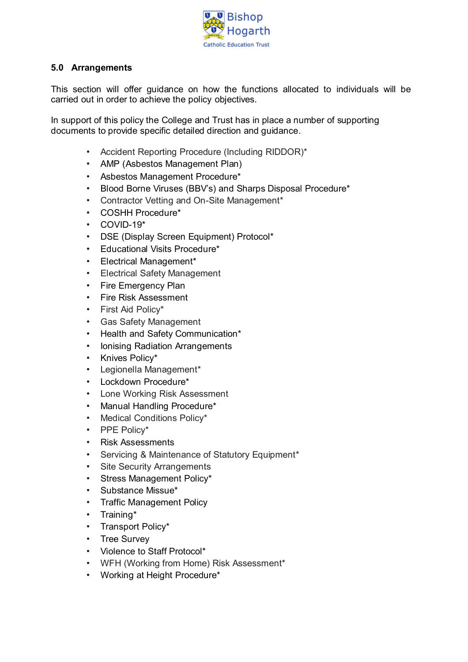

#### <span id="page-11-0"></span>**5.0 Arrangements**

This section will offer guidance on how the functions allocated to individuals will be carried out in order to achieve the policy objectives.

In support of this policy the College and Trust has in place a number of supporting documents to provide specific detailed direction and guidance.

- Accident Reporting Procedure (Including RIDDOR)\*
- AMP (Asbestos Management Plan)
- Asbestos Management Procedure\*
- Blood Borne Viruses (BBV's) and Sharps Disposal Procedure\*
- Contractor Vetting and On-Site Management\*
- COSHH Procedure\*
- COVID-19\*
- DSE (Display Screen Equipment) Protocol\*
- Educational Visits Procedure\*
- Electrical Management\*
- Electrical Safety Management
- Fire Emergency Plan
- Fire Risk Assessment
- First Aid Policy\*
- Gas Safety Management
- Health and Safety Communication\*
- Ionising Radiation Arrangements
- Knives Policy\*
- Legionella Management\*
- Lockdown Procedure\*
- Lone Working Risk Assessment
- Manual Handling Procedure\*
- Medical Conditions Policy\*
- PPE Policy\*
- Risk Assessments
- Servicing & Maintenance of Statutory Equipment\*
- Site Security Arrangements
- Stress Management Policy\*
- Substance Missue\*
- Traffic Management Policy
- Training\*
- Transport Policy\*
- Tree Survey
- Violence to Staff Protocol\*
- WFH (Working from Home) Risk Assessment\*
- Working at Height Procedure\*